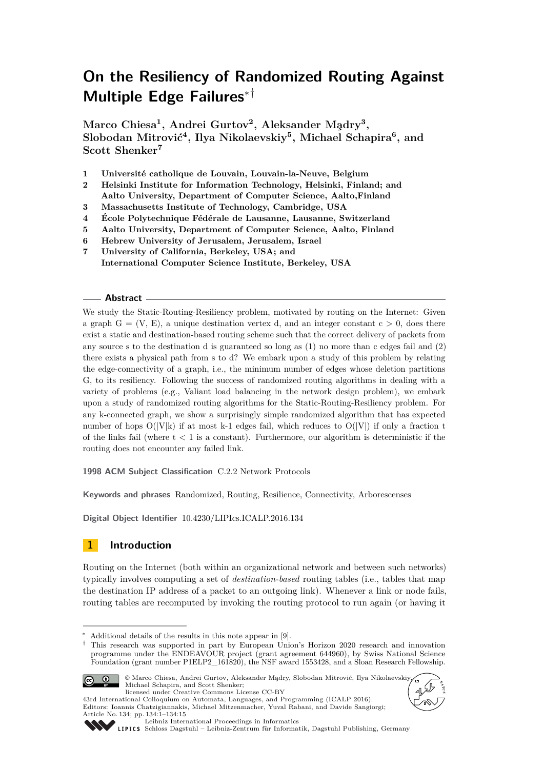# **On the Resiliency of Randomized Routing Against Multiple Edge Failures**∗†

 $M$ arco Chiesa<sup>1</sup>, Andrei Gurtov<sup>2</sup>, Aleksander Mądry<sup>3</sup>, **Slobodan Mitrović<sup>4</sup> , Ilya Nikolaevskiy<sup>5</sup> , Michael Schapira<sup>6</sup> , and Scott Shenker<sup>7</sup>**

**1 Université catholique de Louvain, Louvain-la-Neuve, Belgium**

- **2 Helsinki Institute for Information Technology, Helsinki, Finland; and**
- **Aalto University, Department of Computer Science, Aalto,Finland**
- **3 Massachusetts Institute of Technology, Cambridge, USA**
- **4 École Polytechnique Fédérale de Lausanne, Lausanne, Switzerland**
- **5 Aalto University, Department of Computer Science, Aalto, Finland**
- **6 Hebrew University of Jerusalem, Jerusalem, Israel**
- **7 University of California, Berkeley, USA; and International Computer Science Institute, Berkeley, USA**

## **Abstract**

We study the Static-Routing-Resiliency problem, motivated by routing on the Internet: Given a graph  $G = (V, E)$ , a unique destination vertex d, and an integer constant  $c > 0$ , does there exist a static and destination-based routing scheme such that the correct delivery of packets from any source s to the destination d is guaranteed so long as (1) no more than c edges fail and (2) there exists a physical path from s to d? We embark upon a study of this problem by relating the edge-connectivity of a graph, i.e., the minimum number of edges whose deletion partitions G, to its resiliency. Following the success of randomized routing algorithms in dealing with a variety of problems (e.g., Valiant load balancing in the network design problem), we embark upon a study of randomized routing algorithms for the Static-Routing-Resiliency problem. For any k-connected graph, we show a surprisingly simple randomized algorithm that has expected number of hops  $O(|V|k)$  if at most k-1 edges fail, which reduces to  $O(|V|)$  if only a fraction t of the links fail (where  $t < 1$  is a constant). Furthermore, our algorithm is deterministic if the routing does not encounter any failed link.

**1998 ACM Subject Classification** C.2.2 Network Protocols

**Keywords and phrases** Randomized, Routing, Resilience, Connectivity, Arborescenses

**Digital Object Identifier** [10.4230/LIPIcs.ICALP.2016.134](http://dx.doi.org/10.4230/LIPIcs.ICALP.2016.134)

# **1 Introduction**

Routing on the Internet (both within an organizational network and between such networks) typically involves computing a set of *destination-based* routing tables (i.e., tables that map the destination IP address of a packet to an outgoing link). Whenever a link or node fails, routing tables are recomputed by invoking the routing protocol to run again (or having it

<sup>†</sup> This research was supported in part by European Union's Horizon 2020 research and innovation programme under the ENDEAVOUR project (grant agreement 644960), by Swiss National Science Foundation (grant number P1ELP2\_161820), the NSF award 1553428, and a Sloan Research Fellowship.



<sup>©</sup> Marco Chiesa, Andrei Gurtov, Aleksander Mądry, Slobodan Mitrović, Ilya Nikolaevskiy Michael Schapira, and Scott Shenker; licensed under Creative Commons License CC-BY





Article No. 134; pp. 134:1–134[:15](#page-14-0) [Leibniz International Proceedings in Informatics](http://www.dagstuhl.de/lipics/)

43rd International Colloquium on Automata, Languages, and Programming (ICALP 2016). Editors: Ioannis Chatzigiannakis, Michael Mitzenmacher, Yuval Rabani, and Davide Sangiorgi;

[Schloss Dagstuhl – Leibniz-Zentrum für Informatik, Dagstuhl Publishing, Germany](http://www.dagstuhl.de)

Additional details of the results in this note appear in [\[9\]](#page-13-0).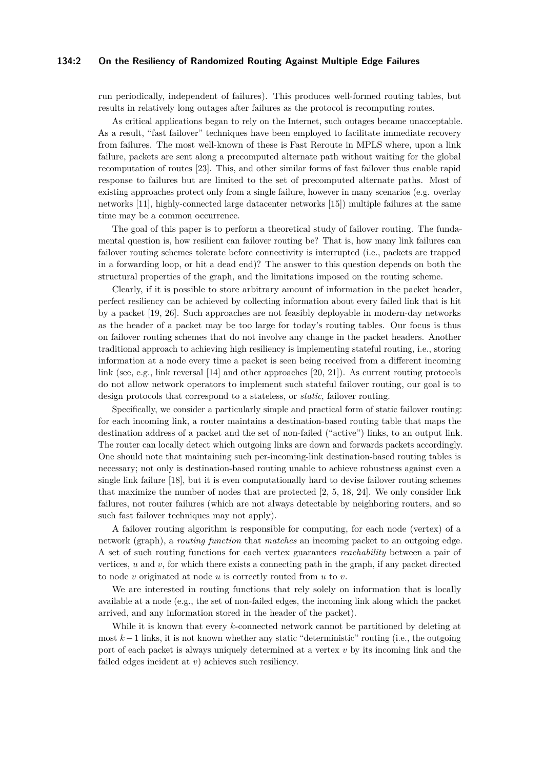#### **134:2 On the Resiliency of Randomized Routing Against Multiple Edge Failures**

run periodically, independent of failures). This produces well-formed routing tables, but results in relatively long outages after failures as the protocol is recomputing routes.

As critical applications began to rely on the Internet, such outages became unacceptable. As a result, "fast failover" techniques have been employed to facilitate immediate recovery from failures. The most well-known of these is Fast Reroute in MPLS where, upon a link failure, packets are sent along a precomputed alternate path without waiting for the global recomputation of routes [\[23\]](#page-14-1). This, and other similar forms of fast failover thus enable rapid response to failures but are limited to the set of precomputed alternate paths. Most of existing approaches protect only from a single failure, however in many scenarios (e.g. overlay networks [\[11\]](#page-13-1), highly-connected large datacenter networks [\[15\]](#page-13-2)) multiple failures at the same time may be a common occurrence.

The goal of this paper is to perform a theoretical study of failover routing. The fundamental question is, how resilient can failover routing be? That is, how many link failures can failover routing schemes tolerate before connectivity is interrupted (i.e., packets are trapped in a forwarding loop, or hit a dead end)? The answer to this question depends on both the structural properties of the graph, and the limitations imposed on the routing scheme.

Clearly, if it is possible to store arbitrary amount of information in the packet header, perfect resiliency can be achieved by collecting information about every failed link that is hit by a packet [\[19,](#page-13-3) [26\]](#page-14-2). Such approaches are not feasibly deployable in modern-day networks as the header of a packet may be too large for today's routing tables. Our focus is thus on failover routing schemes that do not involve any change in the packet headers. Another traditional approach to achieving high resiliency is implementing stateful routing, i.e., storing information at a node every time a packet is seen being received from a different incoming link (see, e.g., link reversal [\[14\]](#page-13-4) and other approaches [\[20,](#page-13-5) [21\]](#page-14-3)). As current routing protocols do not allow network operators to implement such stateful failover routing, our goal is to design protocols that correspond to a stateless, or *static*, failover routing.

Specifically, we consider a particularly simple and practical form of static failover routing: for each incoming link, a router maintains a destination-based routing table that maps the destination address of a packet and the set of non-failed ("active") links, to an output link. The router can locally detect which outgoing links are down and forwards packets accordingly. One should note that maintaining such per-incoming-link destination-based routing tables is necessary; not only is destination-based routing unable to achieve robustness against even a single link failure [\[18\]](#page-13-6), but it is even computationally hard to devise failover routing schemes that maximize the number of nodes that are protected [\[2,](#page-13-7) [5,](#page-13-8) [18,](#page-13-6) [24\]](#page-14-4). We only consider link failures, not router failures (which are not always detectable by neighboring routers, and so such fast failover techniques may not apply).

A failover routing algorithm is responsible for computing, for each node (vertex) of a network (graph), a *routing function* that *matches* an incoming packet to an outgoing edge. A set of such routing functions for each vertex guarantees *reachability* between a pair of vertices, *u* and *v*, for which there exists a connecting path in the graph, if any packet directed to node *v* originated at node *u* is correctly routed from *u* to *v*.

We are interested in routing functions that rely solely on information that is locally available at a node (e.g., the set of non-failed edges, the incoming link along which the packet arrived, and any information stored in the header of the packet).

While it is known that every *k*-connected network cannot be partitioned by deleting at most *k* −1 links, it is not known whether any static "deterministic" routing (i.e., the outgoing port of each packet is always uniquely determined at a vertex *v* by its incoming link and the failed edges incident at *v*) achieves such resiliency.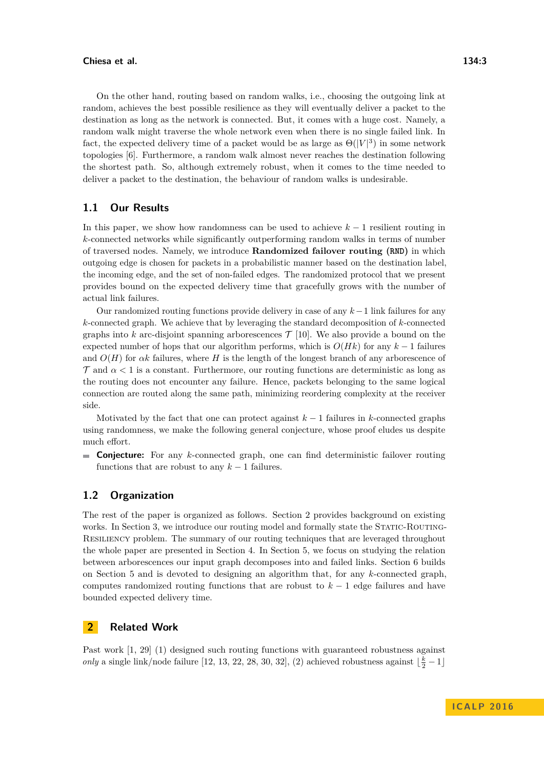#### **Chiesa et al. 134:3**

On the other hand, routing based on random walks, i.e., choosing the outgoing link at random, achieves the best possible resilience as they will eventually deliver a packet to the destination as long as the network is connected. But, it comes with a huge cost. Namely, a random walk might traverse the whole network even when there is no single failed link. In fact, the expected delivery time of a packet would be as large as  $\Theta(|V|^3)$  in some network topologies [\[6\]](#page-13-9). Furthermore, a random walk almost never reaches the destination following the shortest path. So, although extremely robust, when it comes to the time needed to deliver a packet to the destination, the behaviour of random walks is undesirable.

# **1.1 Our Results**

In this paper, we show how randomness can be used to achieve *k* − 1 resilient routing in *k*-connected networks while significantly outperforming random walks in terms of number of traversed nodes. Namely, we introduce **Randomized failover routing (RND)** in which outgoing edge is chosen for packets in a probabilistic manner based on the destination label, the incoming edge, and the set of non-failed edges. The randomized protocol that we present provides bound on the expected delivery time that gracefully grows with the number of actual link failures.

Our randomized routing functions provide delivery in case of any *k*−1 link failures for any *k*-connected graph. We achieve that by leveraging the standard decomposition of *k*-connected graphs into  $k$  arc-disjoint spanning arborescences  $\mathcal{T}$  [\[10\]](#page-13-10). We also provide a bound on the expected number of hops that our algorithm performs, which is  $O(Hk)$  for any  $k-1$  failures and  $O(H)$  for  $\alpha k$  failures, where *H* is the length of the longest branch of any arborescence of  $\tau$  and  $\alpha$  < 1 is a constant. Furthermore, our routing functions are deterministic as long as the routing does not encounter any failure. Hence, packets belonging to the same logical connection are routed along the same path, minimizing reordering complexity at the receiver side.

Motivated by the fact that one can protect against  $k-1$  failures in *k*-connected graphs using randomness, we make the following general conjecture, whose proof eludes us despite much effort.

**Conjecture:** For any *k*-connected graph, one can find deterministic failover routing functions that are robust to any  $k-1$  failures.

# **1.2 Organization**

The rest of the paper is organized as follows. Section [2](#page-2-0) provides background on existing works. In Section [3,](#page-3-0) we introduce our routing model and formally state the STATIC-ROUTING-Resiliency problem. The summary of our routing techniques that are leveraged throughout the whole paper are presented in Section [4.](#page-4-0) In Section [5,](#page-5-0) we focus on studying the relation between arborescences our input graph decomposes into and failed links. Section [6](#page-7-0) builds on Section [5](#page-5-0) and is devoted to designing an algorithm that, for any *k*-connected graph, computes randomized routing functions that are robust to *k* − 1 edge failures and have bounded expected delivery time.

# <span id="page-2-0"></span>**2 Related Work**

Past work [\[1,](#page-12-0) [29\]](#page-14-5) (1) designed such routing functions with guaranteed robustness against *only* a single link/node failure [\[12,](#page-13-11) [13,](#page-13-12) [22,](#page-14-6) [28,](#page-14-7) [30,](#page-14-8) [32\]](#page-14-9), (2) achieved robustness against  $\lfloor \frac{k}{2} - 1 \rfloor$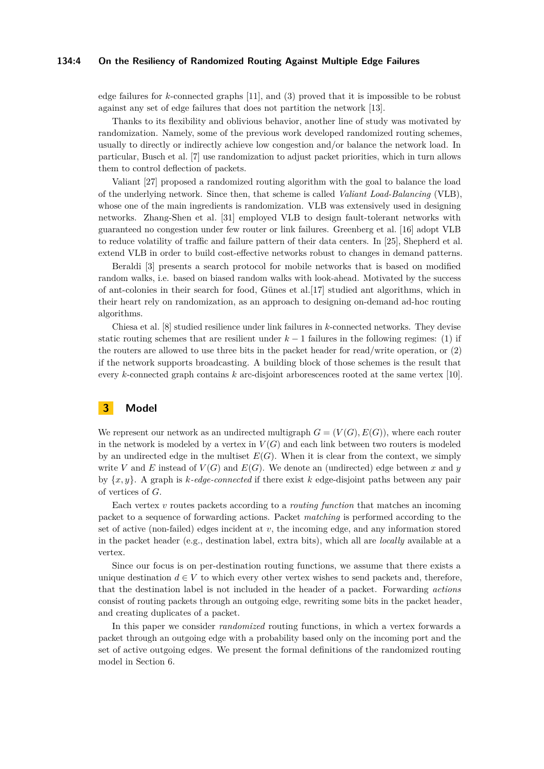#### **134:4 On the Resiliency of Randomized Routing Against Multiple Edge Failures**

edge failures for *k*-connected graphs [\[11\]](#page-13-1), and (3) proved that it is impossible to be robust against any set of edge failures that does not partition the network [\[13\]](#page-13-12).

Thanks to its flexibility and oblivious behavior, another line of study was motivated by randomization. Namely, some of the previous work developed randomized routing schemes, usually to directly or indirectly achieve low congestion and/or balance the network load. In particular, Busch et al. [\[7\]](#page-13-13) use randomization to adjust packet priorities, which in turn allows them to control deflection of packets.

Valiant [\[27\]](#page-14-10) proposed a randomized routing algorithm with the goal to balance the load of the underlying network. Since then, that scheme is called *Valiant Load-Balancing* (VLB), whose one of the main ingredients is randomization. VLB was extensively used in designing networks. Zhang-Shen et al. [\[31\]](#page-14-11) employed VLB to design fault-tolerant networks with guaranteed no congestion under few router or link failures. Greenberg et al. [\[16\]](#page-13-14) adopt VLB to reduce volatility of traffic and failure pattern of their data centers. In [\[25\]](#page-14-12), Shepherd et al. extend VLB in order to build cost-effective networks robust to changes in demand patterns.

Beraldi [\[3\]](#page-13-15) presents a search protocol for mobile networks that is based on modified random walks, i.e. based on biased random walks with look-ahead. Motivated by the success of ant-colonies in their search for food, Günes et al.[\[17\]](#page-13-16) studied ant algorithms, which in their heart rely on randomization, as an approach to designing on-demand ad-hoc routing algorithms.

Chiesa et al. [\[8\]](#page-13-17) studied resilience under link failures in *k*-connected networks. They devise static routing schemes that are resilient under  $k-1$  failures in the following regimes: (1) if the routers are allowed to use three bits in the packet header for read/write operation, or (2) if the network supports broadcasting. A building block of those schemes is the result that every *k*-connected graph contains *k* arc-disjoint arborescences rooted at the same vertex [\[10\]](#page-13-10).

# <span id="page-3-0"></span>**3 Model**

We represent our network as an undirected multigraph  $G = (V(G), E(G))$ , where each router in the network is modeled by a vertex in  $V(G)$  and each link between two routers is modeled by an undirected edge in the multiset  $E(G)$ . When it is clear from the context, we simply write V and E instead of  $V(G)$  and  $E(G)$ . We denote an (undirected) edge between x and y by {*x, y*}. A graph is *k-edge-connected* if there exist *k* edge-disjoint paths between any pair of vertices of *G*.

Each vertex *v* routes packets according to a *routing function* that matches an incoming packet to a sequence of forwarding actions. Packet *matching* is performed according to the set of active (non-failed) edges incident at *v*, the incoming edge, and any information stored in the packet header (e.g., destination label, extra bits), which all are *locally* available at a vertex.

Since our focus is on per-destination routing functions, we assume that there exists a unique destination  $d \in V$  to which every other vertex wishes to send packets and, therefore, that the destination label is not included in the header of a packet. Forwarding *actions* consist of routing packets through an outgoing edge, rewriting some bits in the packet header, and creating duplicates of a packet.

In this paper we consider *randomized* routing functions, in which a vertex forwards a packet through an outgoing edge with a probability based only on the incoming port and the set of active outgoing edges. We present the formal definitions of the randomized routing model in Section [6.](#page-7-0)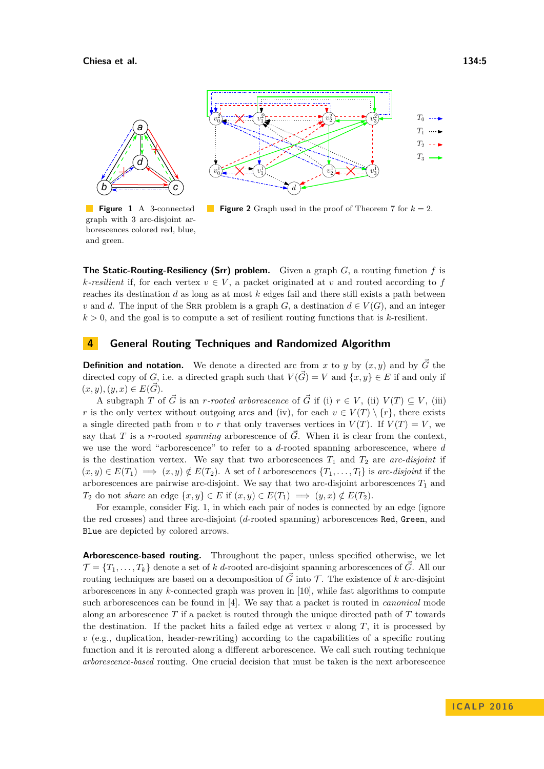<span id="page-4-1"></span>

**Figure 1** A 3-connected graph with 3 arc-disjoint arborescences colored red, blue, and green.



**The Static-Routing-Resiliency (Srr) problem.** Given a graph *G*, a routing function *f* is *k*-resilient if, for each vertex  $v \in V$ , a packet originated at *v* and routed according to *f* reaches its destination *d* as long as at most *k* edges fail and there still exists a path between *v* and *d*. The input of the SRR problem is a graph *G*, a destination  $d \in V(G)$ , and an integer  $k > 0$ , and the goal is to compute a set of resilient routing functions that is *k*-resilient.

# <span id="page-4-0"></span>**4 General Routing Techniques and Randomized Algorithm**

**Definition and notation.** We denote a directed arc from *x* to *y* by  $(x, y)$  and by  $\overrightarrow{G}$  the directed copy of *G*, i.e. a directed graph such that  $V(\vec{G}) = V$  and  $\{x, y\} \in E$  if and only if  $(x, y), (y, x) \in E(\vec{G}).$ 

A subgraph *T* of  $\vec{G}$  is an *r-rooted arborescence* of  $\vec{G}$  if (i)  $r \in V$ , (ii)  $V(T) \subseteq V$ , (iii) *r* is the only vertex without outgoing arcs and (iv), for each  $v \in V(T) \setminus \{r\}$ , there exists a single directed path from *v* to *r* that only traverses vertices in  $V(T)$ . If  $V(T) = V$ , we say that *T* is a *r*-rooted *spanning* arborescence of  $\vec{G}$ . When it is clear from the context, we use the word "arborescence" to refer to a *d*-rooted spanning arborescence, where *d* is the destination vertex. We say that two arborescences  $T_1$  and  $T_2$  are *arc-disjoint* if  $(x, y) \in E(T_1) \implies (x, y) \notin E(T_2)$ . A set of *l* arborescences  $\{T_1, \ldots, T_l\}$  is arc-disjoint if the arborescences are pairwise arc-disjoint. We say that two arc-disjoint arborescences  $T_1$  and *T*<sub>2</sub> do not *share* an edge  $\{x, y\} \in E$  if  $(x, y) \in E(T_1) \implies (y, x) \notin E(T_2)$ .

For example, consider Fig. [1,](#page-4-1) in which each pair of nodes is connected by an edge (ignore the red crosses) and three arc-disjoint (*d*-rooted spanning) arborescences Red*,* Green, and Blue are depicted by colored arrows.

**Arborescence-based routing.** Throughout the paper, unless specified otherwise, we let  $\mathcal{T} = \{T_1, \ldots, T_k\}$  denote a set of *k d*-rooted arc-disjoint spanning arborescences of  $\vec{G}$ . All our routing techniques are based on a decomposition of  $\vec{G}$  into  $\vec{T}$ . The existence of *k* arc-disjoint arborescences in any *k*-connected graph was proven in [\[10\]](#page-13-10), while fast algorithms to compute such arborescences can be found in [\[4\]](#page-13-18). We say that a packet is routed in *canonical* mode along an arborescence *T* if a packet is routed through the unique directed path of *T* towards the destination. If the packet hits a failed edge at vertex  $v$  along  $T$ , it is processed by  $v$  (e.g., duplication, header-rewriting) according to the capabilities of a specific routing function and it is rerouted along a different arborescence. We call such routing technique *arborescence-based* routing. One crucial decision that must be taken is the next arborescence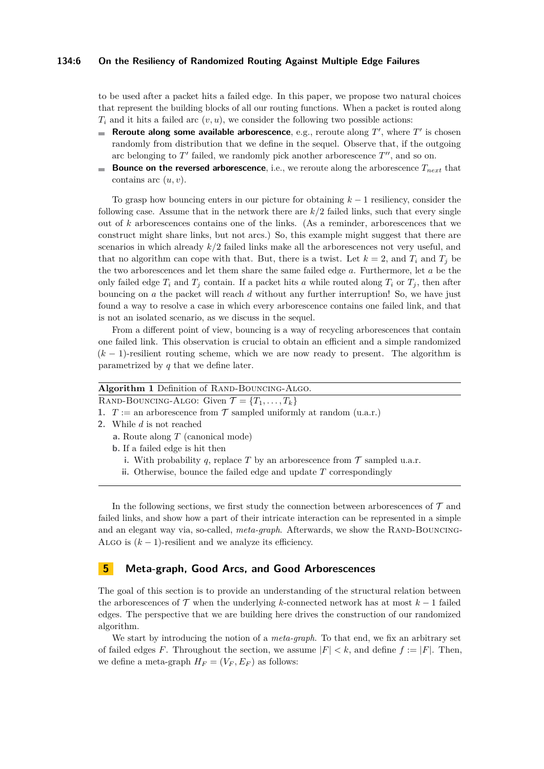#### **134:6 On the Resiliency of Randomized Routing Against Multiple Edge Failures**

to be used after a packet hits a failed edge. In this paper, we propose two natural choices that represent the building blocks of all our routing functions. When a packet is routed along  $T_i$  and it hits a failed arc  $(v, u)$ , we consider the following two possible actions:

- **Reroute along some available arborescence**, e.g., reroute along  $T'$ , where  $T'$  is chosen randomly from distribution that we define in the sequel. Observe that, if the outgoing arc belonging to  $T'$  failed, we randomly pick another arborescence  $T''$ , and so on.
- **Bounce on the reversed arborescence**, i.e., we reroute along the arborescence  $T_{next}$  that m. contains arc (*u, v*).

To grasp how bouncing enters in our picture for obtaining *k* − 1 resiliency, consider the following case. Assume that in the network there are *k/*2 failed links, such that every single out of *k* arborescences contains one of the links. (As a reminder, arborescences that we construct might share links, but not arcs.) So, this example might suggest that there are scenarios in which already *k/*2 failed links make all the arborescences not very useful, and that no algorithm can cope with that. But, there is a twist. Let  $k = 2$ , and  $T_i$  and  $T_j$  be the two arborescences and let them share the same failed edge *a*. Furthermore, let *a* be the only failed edge  $T_i$  and  $T_j$  contain. If a packet hits *a* while routed along  $T_i$  or  $T_j$ , then after bouncing on *a* the packet will reach *d* without any further interruption! So, we have just found a way to resolve a case in which every arborescence contains one failed link, and that is not an isolated scenario, as we discuss in the sequel.

From a different point of view, bouncing is a way of recycling arborescences that contain one failed link. This observation is crucial to obtain an efficient and a simple randomized (*k* − 1)-resilient routing scheme, which we are now ready to present. The algorithm is parametrized by *q* that we define later.

| Algorithm 1 Definition of RAND-BOUNCING-ALGO.                  |  |
|----------------------------------------------------------------|--|
| RAND-BOUNCING-ALGO: Given $\mathcal{T} = \{T_1, \ldots, T_k\}$ |  |

**1.**  $T :=$  an arborescence from  $\mathcal{T}$  sampled uniformly at random (u.a.r.)

- **2.** While *d* is not reached
	- **a.** Route along *T* (canonical mode)
	- **b.** If a failed edge is hit then
		- **i.** With probability *q*, replace *T* by an arborescence from  $\mathcal T$  sampled u.a.r.
		- **ii.** Otherwise, bounce the failed edge and update *T* correspondingly

In the following sections, we first study the connection between arborescences of  $\mathcal T$  and failed links, and show how a part of their intricate interaction can be represented in a simple and an elegant way via, so-called, *meta-graph*. Afterwards, we show the RAND-BOUNCING-ALGO is  $(k-1)$ -resilient and we analyze its efficiency.

## <span id="page-5-0"></span>**5 Meta-graph, Good Arcs, and Good Arborescences**

The goal of this section is to provide an understanding of the structural relation between the arborescences of  $\mathcal T$  when the underlying *k*-connected network has at most  $k-1$  failed edges. The perspective that we are building here drives the construction of our randomized algorithm.

We start by introducing the notion of a *meta-graph*. To that end, we fix an arbitrary set of failed edges *F*. Throughout the section, we assume  $|F| < k$ , and define  $f := |F|$ . Then, we define a meta-graph  $H_F = (V_F, E_F)$  as follows: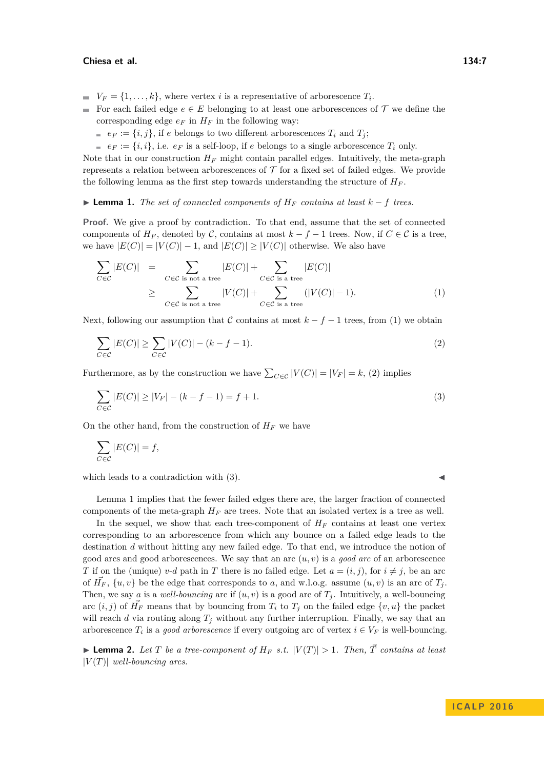#### **Chiesa et al. 134:7**

- $V_F = \{1, \ldots, k\}$ , where vertex *i* is a representative of arborescence  $T_i$ .
- For each failed edge  $e \in E$  belonging to at least one arborescences of  $\mathcal T$  we define the corresponding edge  $e_F$  in  $H_F$  in the following way:
	- *e*  $e_F := \{i, j\}$ , if *e* belongs to two different arborescences  $T_i$  and  $T_j$ ;
	- $e_F := \{i, i\}$ , i.e.  $e_F$  is a self-loop, if *e* belongs to a single arborescence  $T_i$  only.

Note that in our construction  $H_F$  might contain parallel edges. Intuitively, the meta-graph represents a relation between arborescences of  $\mathcal T$  for a fixed set of failed edges. We provide the following lemma as the first step towards understanding the structure of  $H_F$ .

<span id="page-6-3"></span>**► Lemma 1.** *The set of connected components of*  $H_F$  *contains at least*  $k - f$  *trees.* 

**Proof.** We give a proof by contradiction. To that end, assume that the set of connected components of  $H_F$ , denoted by C, contains at most  $k - f - 1$  trees. Now, if  $C \in \mathcal{C}$  is a tree, we have  $|E(C)| = |V(C)| - 1$ , and  $|E(C)| \geq |V(C)|$  otherwise. We also have

<span id="page-6-0"></span>
$$
\sum_{C \in \mathcal{C}} |E(C)| = \sum_{C \in \mathcal{C} \text{ is not a tree}} |E(C)| + \sum_{C \in \mathcal{C} \text{ is a tree}} |E(C)|
$$
\n
$$
\geq \sum_{C \in \mathcal{C} \text{ is not a tree}} |V(C)| + \sum_{C \in \mathcal{C} \text{ is a tree}} (|V(C)| - 1).
$$
\n(1)

Next, following our assumption that C contains at most  $k - f - 1$  trees, from [\(1\)](#page-6-0) we obtain

$$
\sum_{C \in \mathcal{C}} |E(C)| \ge \sum_{C \in \mathcal{C}} |V(C)| - (k - f - 1). \tag{2}
$$

Furthermore, as by the construction we have  $\sum_{C \in \mathcal{C}} |V(C)| = |V_F| = k$ , [\(2\)](#page-6-1) implies

$$
\sum_{C \in \mathcal{C}} |E(C)| \ge |V_F| - (k - f - 1) = f + 1.
$$
\n(3)

On the other hand, from the construction of  $H_F$  we have

$$
\sum_{C \in \mathcal{C}} |E(C)| = f,
$$

which leads to a contradiction with  $(3)$ .

<span id="page-6-2"></span><span id="page-6-1"></span>

Lemma [1](#page-6-3) implies that the fewer failed edges there are, the larger fraction of connected components of the meta-graph  $H_F$  are trees. Note that an isolated vertex is a tree as well.

In the sequel, we show that each tree-component of  $H_F$  contains at least one vertex corresponding to an arborescence from which any bounce on a failed edge leads to the destination *d* without hitting any new failed edge. To that end, we introduce the notion of good arcs and good arborescences. We say that an arc (*u, v*) is a *good arc* of an arborescence *T* if on the (unique) *v*-*d* path in *T* there is no failed edge. Let  $a = (i, j)$ , for  $i \neq j$ , be an arc of  $\vec{H_F}$ ,  $\{u, v\}$  be the edge that corresponds to *a*, and w.l.o.g. assume  $(u, v)$  is an arc of  $T_j$ . Then, we say *a* is a *well-bouncing* arc if  $(u, v)$  is a good arc of  $T_j$ . Intuitively, a well-bouncing arc  $(i, j)$  of  $\vec{H_F}$  means that by bouncing from  $T_i$  to  $T_j$  on the failed edge  $\{v, u\}$  the packet will reach  $d$  via routing along  $T_j$  without any further interruption. Finally, we say that an arborescence  $T_i$  is a *good arborescence* if every outgoing arc of vertex  $i \in V_F$  is well-bouncing.

<span id="page-6-4"></span>**If Lemma 2.** Let *T* be a tree-component of  $H_F$  *s.t.*  $|V(T)| > 1$ *. Then,*  $\vec{T}$  *contains at least*  $|V(T)|$  *well-bouncing arcs.*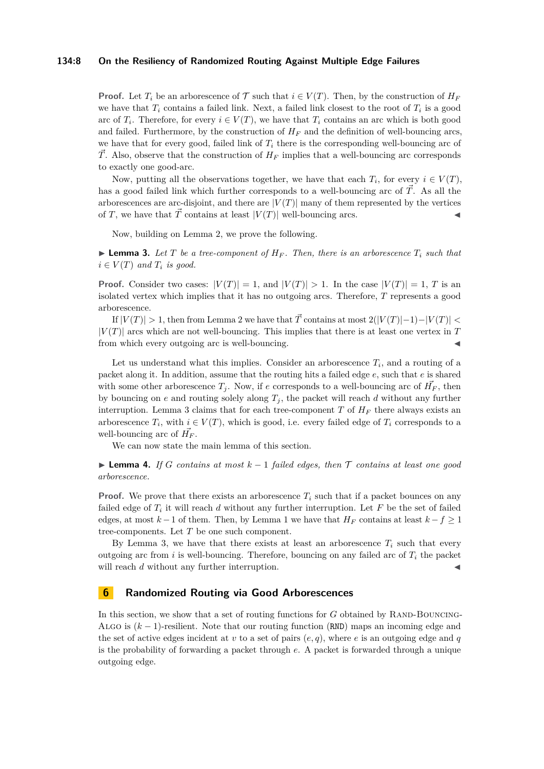#### **134:8 On the Resiliency of Randomized Routing Against Multiple Edge Failures**

**Proof.** Let  $T_i$  be an arborescence of  $\mathcal T$  such that  $i \in V(T)$ . Then, by the construction of  $H_F$ we have that  $T_i$  contains a failed link. Next, a failed link closest to the root of  $T_i$  is a good arc of  $T_i$ . Therefore, for every  $i \in V(T)$ , we have that  $T_i$  contains an arc which is both good and failed. Furthermore, by the construction of  $H_F$  and the definition of well-bouncing arcs, we have that for every good, failed link of  $T_i$  there is the corresponding well-bouncing arc of  $\vec{T}$ . Also, observe that the construction of  $H_F$  implies that a well-bouncing arc corresponds to exactly one good-arc.

Now, putting all the observations together, we have that each  $T_i$ , for every  $i \in V(T)$ , has a good failed link which further corresponds to a well-bouncing arc of  $\vec{T}$ . As all the arborescences are arc-disjoint, and there are  $|V(T)|$  many of them represented by the vertices of *T*, we have that  $\vec{T}$  contains at least  $|V(T)|$  well-bouncing arcs.

Now, building on Lemma [2,](#page-6-4) we prove the following.

<span id="page-7-1"></span>**I Lemma 3.** Let T be a tree-component of  $H_F$ . Then, there is an arborescence  $T_i$  such that  $i \in V(T)$  *and*  $T_i$  *is good.* 

**Proof.** Consider two cases:  $|V(T)| = 1$ , and  $|V(T)| > 1$ . In the case  $|V(T)| = 1$ , *T* is an isolated vertex which implies that it has no outgoing arcs. Therefore, *T* represents a good arborescence.

If  $|V(T)| > 1$ , then from Lemma [2](#page-6-4) we have that  $\overrightarrow{T}$  contains at most  $2(|V(T)|-1)-|V(T)| <$  $|V(T)|$  arcs which are not well-bouncing. This implies that there is at least one vertex in T from which every outgoing arc is well-bouncing.

Let us understand what this implies. Consider an arborescence  $T_i$ , and a routing of a packet along it. In addition, assume that the routing hits a failed edge *e*, such that *e* is shared with some other arborescence  $T_j$ . Now, if *e* corresponds to a well-bouncing arc of  $\vec{H}_F$ , then by bouncing on  $e$  and routing solely along  $T_j$ , the packet will reach  $d$  without any further interruption. Lemma [3](#page-7-1) claims that for each tree-component  $T$  of  $H_F$  there always exists an arborescence  $T_i$ , with  $i \in V(T)$ , which is good, i.e. every failed edge of  $T_i$  corresponds to a well-bouncing arc of  $\vec{H_F}$ .

We can now state the main lemma of this section.

<span id="page-7-2"></span>**► Lemma 4.** If *G* contains at most  $k-1$  failed edges, then  $\mathcal T$  contains at least one good *arborescence.*

**Proof.** We prove that there exists an arborescence  $T_i$  such that if a packet bounces on any failed edge of  $T_i$  it will reach  $d$  without any further interruption. Let  $F$  be the set of failed edges, at most  $k-1$  of them. Then, by Lemma [1](#page-6-3) we have that  $H_F$  contains at least  $k-f \geq 1$ tree-components. Let *T* be one such component.

By Lemma [3,](#page-7-1) we have that there exists at least an arborescence  $T_i$  such that every outgoing arc from *i* is well-bouncing. Therefore, bouncing on any failed arc of  $T_i$  the packet will reach *d* without any further interruption.

## <span id="page-7-0"></span>**6 Randomized Routing via Good Arborescences**

In this section, we show that a set of routing functions for  $G$  obtained by RAND-BOUNCING-ALGO is  $(k-1)$ -resilient. Note that our routing function (RND) maps an incoming edge and the set of active edges incident at *v* to a set of pairs  $(e, q)$ , where *e* is an outgoing edge and *q* is the probability of forwarding a packet through *e*. A packet is forwarded through a unique outgoing edge.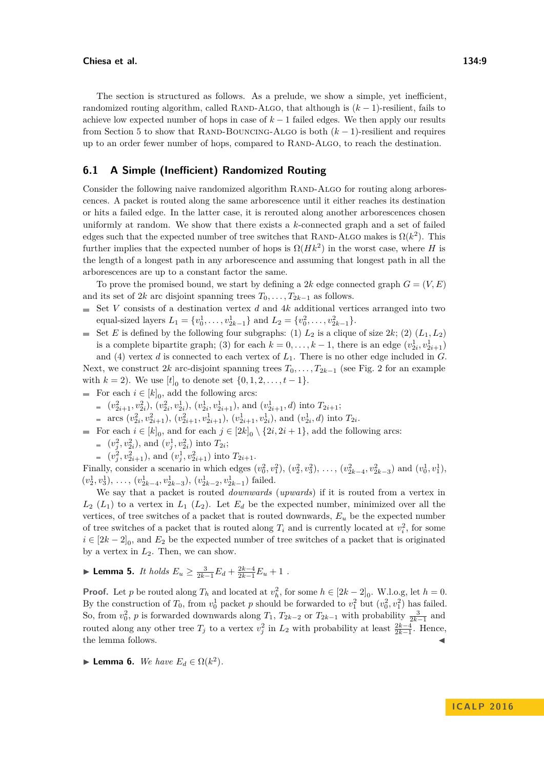The section is structured as follows. As a prelude, we show a simple, yet inefficient, randomized routing algorithm, called RAND-ALGO, that although is  $(k-1)$ -resilient, fails to achieve low expected number of hops in case of  $k-1$  failed edges. We then apply our results from Section [5](#page-5-0) to show that RAND-BOUNCING-ALGO is both  $(k-1)$ -resilient and requires up to an order fewer number of hops, compared to RAND-ALGO, to reach the destination.

## **6.1 A Simple (Inefficient) Randomized Routing**

Consider the following naive randomized algorithm RAND-ALGO for routing along arborescences. A packet is routed along the same arborescence until it either reaches its destination or hits a failed edge. In the latter case, it is rerouted along another arborescences chosen uniformly at random. We show that there exists a *k*-connected graph and a set of failed edges such that the expected number of tree switches that RAND-ALGO makes is  $\Omega(k^2)$ . This further implies that the expected number of hops is  $\Omega(Hk^2)$  in the worst case, where *H* is the length of a longest path in any arborescence and assuming that longest path in all the arborescences are up to a constant factor the same.

To prove the promised bound, we start by defining a 2k edge connected graph  $G = (V, E)$ and its set of 2*k* arc disjoint spanning trees  $T_0, \ldots, T_{2k-1}$  as follows.

- Set *V* consists of a destination vertex *d* and 4*k* additional vertices arranged into two  $\blacksquare$ equal-sized layers  $L_1 = \{v_0^1, \ldots, v_{2k-1}^1\}$  and  $L_2 = \{v_0^2, \ldots, v_{2k-1}^2\}$ .
- Set *E* is defined by the following four subgraphs: (1)  $L_2$  is a clique of size 2*k*; (2)  $(L_1, L_2)$ is a complete bipartite graph; (3) for each  $k = 0, \ldots, k - 1$ , there is an edge  $(v_{2i}^1, v_{2i+1}^1)$

and (4) vertex *d* is connected to each vertex of *L*1. There is no other edge included in *G*. Next, we construct [2](#page-4-1)*k* arc-disjoint spanning trees  $T_0, \ldots, T_{2k-1}$  (see Fig. 2 for an example with  $k = 2$ ). We use  $[t]_0$  to denote set  $\{0, 1, 2, \ldots, t - 1\}$ .

- For each  $i \in [k]_0$ , add the following arcs:
	- $(v_{2i+1}^2, v_{2i}^2), (v_{2i}^2, v_{2i}^1), (v_{2i}^1, v_{2i+1}^1),$  and  $(v_{2i+1}^1, d)$  into  $T_{2i+1}$ ;
	- arcs  $(v_{2i}^2, v_{2i+1}^2), (v_{2i+1}^2, v_{2i+1}^1), (v_{2i+1}^1, v_{2i}^1),$  and  $(v_{2i}^1, d)$  into  $T_{2i}$ .
- For each  $i \in [k]_0$ , and for each  $j \in [2k]_0 \setminus \{2i, 2i + 1\}$ , add the following arcs:
	- $(v_j^2, v_{2i}^2)$ , and  $(v_j^1, v_{2i}^2)$  into  $T_{2i}$ ;
	- $(v_j^2, v_{2i+1}^2)$ , and  $(v_j^1, v_{2i+1}^2)$  into  $T_{2i+1}$ .

Finally, consider a scenario in which edges  $(v_0^2, v_1^2), (v_2^2, v_3^2), \ldots, (v_{2k-4}^2, v_{2k-3}^2)$  and  $(v_0^1, v_1^1)$ ,  $(v_2^1, v_3^1), \ldots, (v_{2k-4}^1, v_{2k-3}^1), (v_{2k-2}^1, v_{2k-1}^1)$  failed.

We say that a packet is routed *downwards* (*upwards*) if it is routed from a vertex in  $L_2(L_1)$  to a vertex in  $L_1(L_2)$ . Let  $E_d$  be the expected number, minimized over all the vertices, of tree switches of a packet that is routed downwards,  $E<sub>u</sub>$  be the expected number of tree switches of a packet that is routed along  $T_i$  and is currently located at  $v_i^2$ , for some  $i \in [2k-2]_0$ , and  $E_2$  be the expected number of tree switches of a packet that is originated by a vertex in *L*2. Then, we can show.

<span id="page-8-0"></span>► **Lemma 5.** *It holds*  $E_u \geq \frac{3}{2k-1}E_d + \frac{2k-4}{2k-1}E_u + 1$ .

**Proof.** Let *p* be routed along  $T_h$  and located at  $v_h^2$ , for some  $h \in [2k-2]_0$ . W.l.o.g, let  $h = 0$ . By the construction of  $T_0$ , from  $v_0^1$  packet  $p$  should be forwarded to  $v_1^2$  but  $(v_0^2, v_1^2)$  has failed. So, from  $v_0^2$ , *p* is forwarded downwards along  $T_1$ ,  $T_{2k-2}$  or  $T_{2k-1}$  with probability  $\frac{3}{2k-1}$  and routed along any other tree  $T_j$  to a vertex  $v_j^2$  in  $L_2$  with probability at least  $\frac{2k-4}{2k-1}$ . Hence, the lemma follows.

**Example 1** Lemma 6. We have  $E_d \in \Omega(k^2)$ .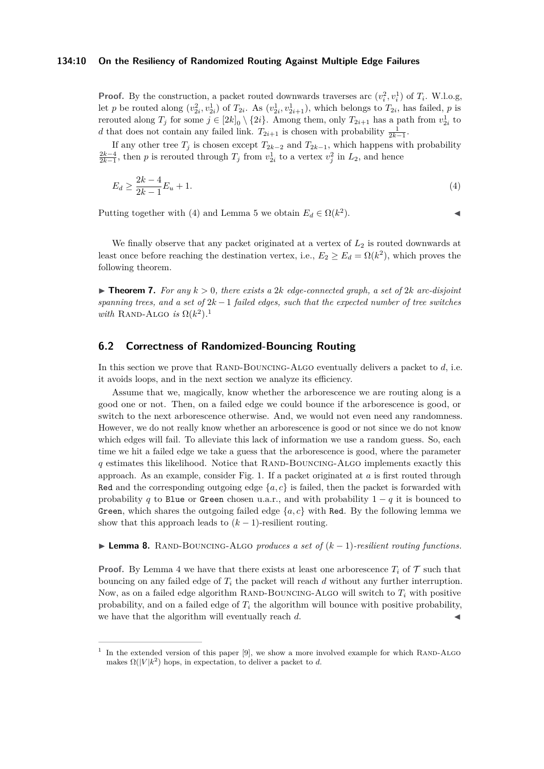#### **134:10 On the Resiliency of Randomized Routing Against Multiple Edge Failures**

**Proof.** By the construction, a packet routed downwards traverses arc  $(v_i^2, v_i^1)$  of  $T_i$ . W.l.o.g, let *p* be routed along  $(v_{2i}^2, v_{2i}^1)$  of  $T_{2i}$ . As  $(v_{2i}^1, v_{2i+1}^1)$ , which belongs to  $T_{2i}$ , has failed, *p* is rerouted along  $T_j$  for some  $j \in [2k]_0 \setminus \{2i\}$ . Among them, only  $T_{2i+1}$  has a path from  $v_{2i}^1$  to d that does not contain any failed link.  $T_{2i+1}$  is chosen with probability  $\frac{1}{2k-1}$ .

If any other tree  $T_j$  is chosen except  $T_{2k-2}$  and  $T_{2k-1}$ , which happens with probability  $\frac{2k-4}{2k-1}$ , then *p* is rerouted through  $T_j$  from  $v_{2i}^1$  to a vertex  $v_j^2$  in  $L_2$ , and hence

$$
E_d \ge \frac{2k - 4}{2k - 1} E_u + 1. \tag{4}
$$

Putting together with [\(4\)](#page-9-1) and Lemma [5](#page-8-0) we obtain  $E_d \in \Omega(k^2)$ 

<span id="page-9-1"></span> $\blacksquare$ ).

We finally observe that any packet originated at a vertex of  $L_2$  is routed downwards at least once before reaching the destination vertex, i.e.,  $E_2 \ge E_d = \Omega(k^2)$ , which proves the following theorem.

<span id="page-9-0"></span> $\triangleright$  **Theorem 7.** For any  $k > 0$ , there exists a 2*k* edge-connected graph, a set of 2*k* arc-disjoint *spanning trees, and a set of* 2*k* − 1 *failed edges, such that the expected number of tree switches with* RAND-ALGO *is*  $\Omega(k^2)$ .<sup>[1](#page-9-2)</sup>

## **6.2 Correctness of Randomized-Bouncing Routing**

In this section we prove that RAND-BOUNCING-ALGO eventually delivers a packet to *d*, i.e. it avoids loops, and in the next section we analyze its efficiency.

Assume that we, magically, know whether the arborescence we are routing along is a good one or not. Then, on a failed edge we could bounce if the arborescence is good, or switch to the next arborescence otherwise. And, we would not even need any randomness. However, we do not really know whether an arborescence is good or not since we do not know which edges will fail. To alleviate this lack of information we use a random guess. So, each time we hit a failed edge we take a guess that the arborescence is good, where the parameter *q* estimates this likelihood. Notice that RAND-BOUNCING-ALGO implements exactly this approach. As an example, consider Fig. [1.](#page-4-1) If a packet originated at *a* is first routed through Red and the corresponding outgoing edge  $\{a, c\}$  is failed, then the packet is forwarded with probability *q* to Blue or Green chosen u.a.r., and with probability  $1 - q$  it is bounced to Green, which shares the outgoing failed edge  $\{a, c\}$  with Red. By the following lemma we show that this approach leads to  $(k-1)$ -resilient routing.

<span id="page-9-3"></span>**► Lemma 8.** RAND-BOUNCING-ALGO *produces a set of*  $(k-1)$ *-resilient routing functions.* 

**Proof.** By Lemma [4](#page-7-2) we have that there exists at least one arborescence  $T_i$  of  $T$  such that bouncing on any failed edge of *T<sup>i</sup>* the packet will reach *d* without any further interruption. Now, as on a failed edge algorithm RAND-BOUNCING-ALGO will switch to  $T_i$  with positive probability, and on a failed edge of *T<sup>i</sup>* the algorithm will bounce with positive probability, we have that the algorithm will eventually reach  $d$ .

<span id="page-9-2"></span> $<sup>1</sup>$  In the extended version of this paper [\[9\]](#page-13-0), we show a more involved example for which RAND-ALGO</sup> makes  $\Omega(|V|k^2)$  hops, in expectation, to deliver a packet to *d*.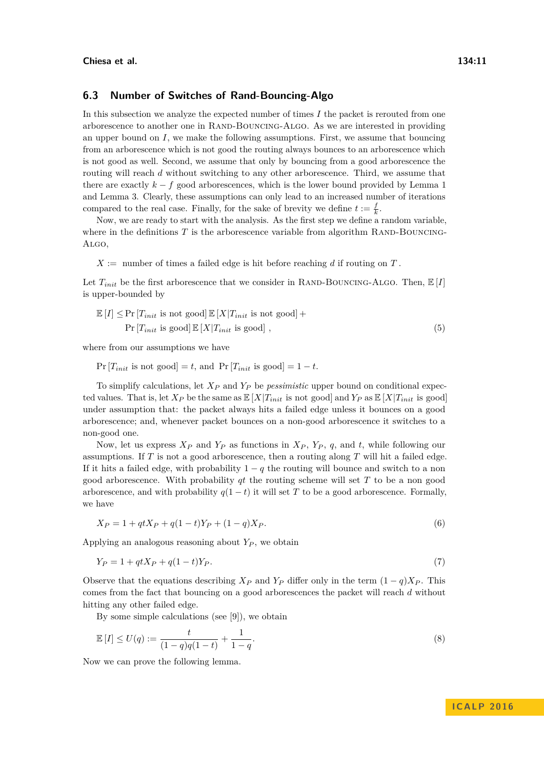## **6.3 Number of Switches of Rand-Bouncing-Algo**

In this subsection we analyze the expected number of times *I* the packet is rerouted from one arborescence to another one in RAND-BOUNCING-ALGO. As we are interested in providing an upper bound on *I*, we make the following assumptions. First, we assume that bouncing from an arborescence which is not good the routing always bounces to an arborescence which is not good as well. Second, we assume that only by bouncing from a good arborescence the routing will reach *d* without switching to any other arborescence. Third, we assume that there are exactly  $k - f$  good arborescences, which is the lower bound provided by Lemma [1](#page-6-3) and Lemma [3.](#page-7-1) Clearly, these assumptions can only lead to an increased number of iterations compared to the real case. Finally, for the sake of brevity we define  $t := \frac{f}{k}$ .

Now, we are ready to start with the analysis. As the first step we define a random variable, where in the definitions  $T$  is the arborescence variable from algorithm RAND-BOUNCING-Algo,

 $X :=$  number of times a failed edge is hit before reaching *d* if routing on  $T$ .

Let  $T_{init}$  be the first arborescence that we consider in RAND-BOUNCING-ALGO. Then,  $\mathbb{E}[I]$ is upper-bounded by

$$
\mathbb{E}[I] \le \Pr\left[T_{init} \text{ is not good}\right] \mathbb{E}[X|T_{init} \text{ is not good}] +
$$
  

$$
\Pr\left[T_{init} \text{ is good}\right] \mathbb{E}[X|T_{init} \text{ is good}] ,
$$
 (5)

where from our assumptions we have

 $Pr[T_{init}$  is not good = *t*, and  $Pr[T_{init}$  is good = 1 − *t*.

To simplify calculations, let *X<sup>P</sup>* and *Y<sup>P</sup>* be *pessimistic* upper bound on conditional expected values. That is, let  $X_P$  be the same as  $\mathbb{E}[X|T_{init}$  is not good and  $Y_P$  as  $\mathbb{E}[X|T_{init}$  is good under assumption that: the packet always hits a failed edge unless it bounces on a good arborescence; and, whenever packet bounces on a non-good arborescence it switches to a non-good one.

Now, let us express  $X_P$  and  $Y_P$  as functions in  $X_P$ ,  $Y_P$ , q, and t, while following our assumptions. If *T* is not a good arborescence, then a routing along *T* will hit a failed edge. If it hits a failed edge, with probability  $1 - q$  the routing will bounce and switch to a non good arborescence. With probability *qt* the routing scheme will set *T* to be a non good arborescence, and with probability  $q(1-t)$  it will set T to be a good arborescence. Formally, we have

$$
X_P = 1 + qtX_P + q(1-t)Y_P + (1-q)X_P.
$$
\n(6)

Applying an analogous reasoning about *Y<sup>P</sup>* , we obtain

$$
Y_P = 1 + qtX_P + q(1 - t)Y_P.
$$
\n(7)

Observe that the equations describing  $X_P$  and  $Y_P$  differ only in the term  $(1-q)X_P$ . This comes from the fact that bouncing on a good arborescences the packet will reach *d* without hitting any other failed edge.

<span id="page-10-0"></span>By some simple calculations (see [\[9\]](#page-13-0)), we obtain

$$
\mathbb{E}[I] \le U(q) := \frac{t}{(1-q)q(1-t)} + \frac{1}{1-q}.\tag{8}
$$

Now we can prove the following lemma.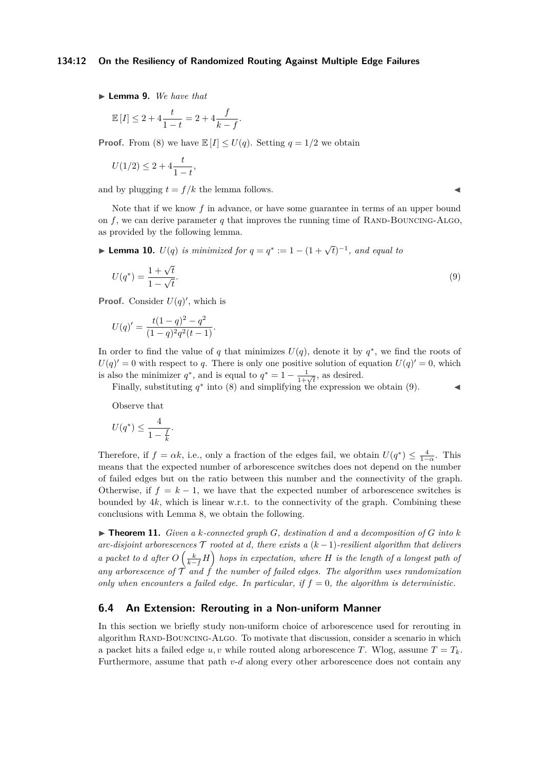#### **134:12 On the Resiliency of Randomized Routing Against Multiple Edge Failures**

▶ **Lemma 9.** *We have that* 

$$
\mathbb{E}[I] \le 2 + 4\frac{t}{1-t} = 2 + 4\frac{f}{k-f}.
$$

**Proof.** From [\(8\)](#page-10-0) we have  $\mathbb{E}[I] \leq U(q)$ . Setting  $q = 1/2$  we obtain

$$
U(1/2) \le 2 + 4\frac{t}{1-t},
$$

and by plugging  $t = f/k$  the lemma follows.

Note that if we know f in advance, or have some guarantee in terms of an upper bound on  $f$ , we can derive parameter  $q$  that improves the running time of RAND-BOUNCING-ALGO, as provided by the following lemma.

► Lemma 10.  $U(q)$  *is minimized for*  $q = q^* := 1 - (1 + \sqrt{t})^{-1}$ , and equal to

$$
U(q^*) = \frac{1 + \sqrt{t}}{1 - \sqrt{t}}.\tag{9}
$$

**Proof.** Consider  $U(q)$ <sup>'</sup>, which is

$$
U(q)' = \frac{t(1-q)^2 - q^2}{(1-q)^2 q^2 (t-1)}.
$$

In order to find the value of *q* that minimizes  $U(q)$ , denote it by  $q^*$ , we find the roots of  $U(q)' = 0$  with respect to *q*. There is only one positive solution of equation  $U(q)' = 0$ , which is also the minimizer  $q^*$ , and is equal to  $q^* = 1 - \frac{1}{1+\sqrt{t}}$ , as desired.

Finally, substituting  $q^*$  into [\(8\)](#page-10-0) and simplifying the expression we obtain [\(9\)](#page-11-0).

Observe that

$$
U(q^*) \le \frac{4}{1 - \frac{f}{k}}.
$$

Therefore, if  $f = \alpha k$ , i.e., only a fraction of the edges fail, we obtain  $U(q^*) \leq \frac{4}{1-\alpha}$ . This means that the expected number of arborescence switches does not depend on the number of failed edges but on the ratio between this number and the connectivity of the graph. Otherwise, if  $f = k - 1$ , we have that the expected number of arborescence switches is bounded by  $4k$ , which is linear w.r.t. to the connectivity of the graph. Combining these conclusions with Lemma [8,](#page-9-3) we obtain the following.

 $\blacktriangleright$  **Theorem 11.** *Given a k*-connected graph *G*, destination *d* and *a* decomposition of *G* into *k arc-disjoint arborescences*  $\mathcal T$  *rooted at d, there exists a*  $(k-1)$ *-resilient algorithm that delivers a* packet to *d* after  $O\left(\frac{k}{k-f}H\right)$  hops in expectation, where *H* is the length of a longest path of any arborescence of  $\hat{T}$  and  $\hat{T}$  the number of failed edges. The algorithm uses randomization *only when encounters a failed edge. In particular, if*  $f = 0$ *, the algorithm is deterministic.* 

# **6.4 An Extension: Rerouting in a Non-uniform Manner**

In this section we briefly study non-uniform choice of arborescence used for rerouting in algorithm RAND-BOUNCING-ALGO. To motivate that discussion, consider a scenario in which a packet hits a failed edge  $u, v$  while routed along arborescence *T*. Wlog, assume  $T = T_k$ . Furthermore, assume that path *v*-*d* along every other arborescence does not contain any

<span id="page-11-0"></span>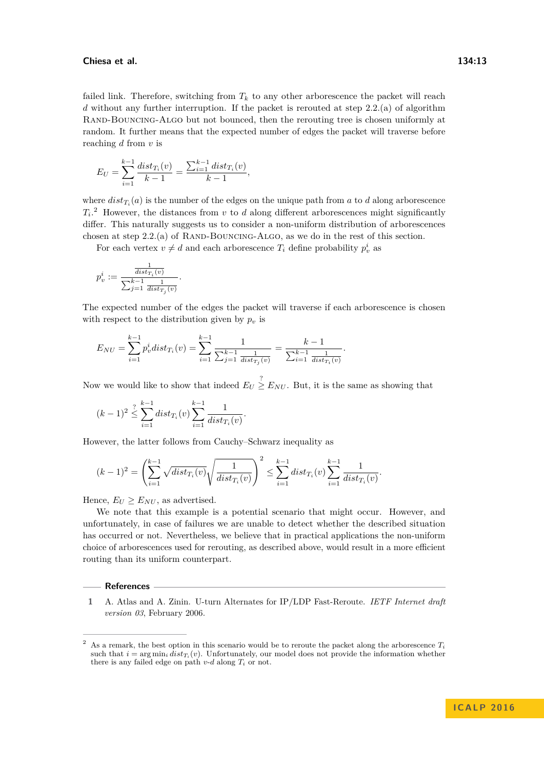#### **Chiesa et al. 134:13**

$$
E_U = \sum_{i=1}^{k-1} \frac{dist_{T_i}(v)}{k-1} = \frac{\sum_{i=1}^{k-1} dist_{T_i}(v)}{k-1},
$$

where  $dist_{T_i}(a)$  is the number of the edges on the unique path from *a* to *d* along arborescence  $T_i$ <sup>[2](#page-12-1)</sup> However, the distances from *v* to *d* along different arborescences might significantly differ. This naturally suggests us to consider a non-uniform distribution of arborescences chosen at step  $2.2(a)$  of RAND-BOUNCING-ALGO, as we do in the rest of this section.

For each vertex  $v \neq d$  and each arborescence  $T_i$  define probability  $p_v^i$  as

$$
p_v^i:=\frac{\frac{1}{dist_{T_i}(v)}}{\sum_{j=1}^{k-1}\frac{1}{dist_{T_j}(v)}}.
$$

The expected number of the edges the packet will traverse if each arborescence is chosen with respect to the distribution given by  $p<sub>v</sub>$  is

$$
E_{NU} = \sum_{i=1}^{k-1} p_v^i dist_{T_i}(v) = \sum_{i=1}^{k-1} \frac{1}{\sum_{j=1}^{k-1} \frac{1}{dist_{T_j}(v)}} = \frac{k-1}{\sum_{i=1}^{k-1} \frac{1}{dist_{T_i}(v)}}.
$$

Now we would like to show that indeed  $E_U \geq E_{NU}$ . But, it is the same as showing that

$$
(k-1)^2 \leq \sum_{i=1}^n dist_{T_i}(v) \sum_{i=1}^{k-1} \frac{1}{dist_{T_i}(v)}.
$$

However, the latter follows from Cauchy–Schwarz inequality as

$$
(k-1)^2 = \left(\sum_{i=1}^{k-1} \sqrt{dist_{T_i}(v)} \sqrt{\frac{1}{dist_{T_i}(v)}}\right)^2 \le \sum_{i=1}^{k-1} dist_{T_i}(v) \sum_{i=1}^{k-1} \frac{1}{dist_{T_i}(v)}.
$$

Hence,  $E_U \ge E_{NU}$ , as advertised.

We note that this example is a potential scenario that might occur. However, and unfortunately, in case of failures we are unable to detect whether the described situation has occurred or not. Nevertheless, we believe that in practical applications the non-uniform choice of arborescences used for rerouting, as described above, would result in a more efficient routing than its uniform counterpart.

#### **References**

<span id="page-12-0"></span>**1** A. Atlas and A. Zinin. U-turn Alternates for IP/LDP Fast-Reroute. *IETF Internet draft version 03*, February 2006.

<span id="page-12-1"></span>As a remark, the best option in this scenario would be to reroute the packet along the arborescence  $T_i$ such that  $i = \arg \min_i dist_{T_i}(v)$ . Unfortunately, our model does not provide the information whether there is any failed edge on path  $v$ - $d$  along  $T_i$  or not.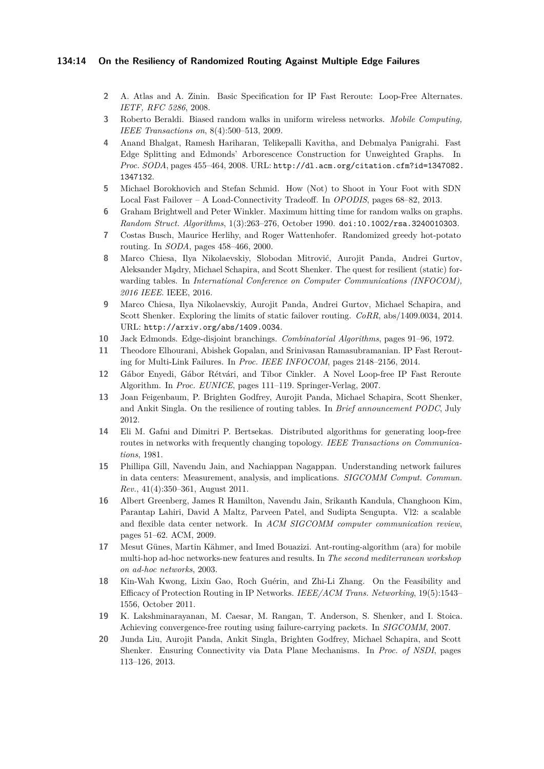### **134:14 On the Resiliency of Randomized Routing Against Multiple Edge Failures**

- <span id="page-13-7"></span>**2** A. Atlas and A. Zinin. Basic Specification for IP Fast Reroute: Loop-Free Alternates. *IETF, RFC 5286*, 2008.
- <span id="page-13-15"></span>**3** Roberto Beraldi. Biased random walks in uniform wireless networks. *Mobile Computing, IEEE Transactions on*, 8(4):500–513, 2009.
- <span id="page-13-18"></span>**4** Anand Bhalgat, Ramesh Hariharan, Telikepalli Kavitha, and Debmalya Panigrahi. Fast Edge Splitting and Edmonds' Arborescence Construction for Unweighted Graphs. In *Proc. SODA*, pages 455–464, 2008. URL: [http://dl.acm.org/citation.cfm?id=1347082.](http://dl.acm.org/citation.cfm?id=1347082.1347132) [1347132](http://dl.acm.org/citation.cfm?id=1347082.1347132).
- <span id="page-13-8"></span>**5** Michael Borokhovich and Stefan Schmid. How (Not) to Shoot in Your Foot with SDN Local Fast Failover – A Load-Connectivity Tradeoff. In *OPODIS*, pages 68–82, 2013.
- <span id="page-13-9"></span>**6** Graham Brightwell and Peter Winkler. Maximum hitting time for random walks on graphs. *Random Struct. Algorithms*, 1(3):263–276, October 1990. [doi:10.1002/rsa.3240010303](http://dx.doi.org/10.1002/rsa.3240010303).
- <span id="page-13-13"></span>**7** Costas Busch, Maurice Herlihy, and Roger Wattenhofer. Randomized greedy hot-potato routing. In *SODA*, pages 458–466, 2000.
- <span id="page-13-17"></span>**8** Marco Chiesa, Ilya Nikolaevskiy, Slobodan Mitrović, Aurojit Panda, Andrei Gurtov, Aleksander Madry, Michael Schapira, and Scott Shenker. The quest for resilient (static) forwarding tables. In *International Conference on Computer Communications (INFOCOM), 2016 IEEE*. IEEE, 2016.
- <span id="page-13-0"></span>**9** Marco Chiesa, Ilya Nikolaevskiy, Aurojit Panda, Andrei Gurtov, Michael Schapira, and Scott Shenker. Exploring the limits of static failover routing. *CoRR*, abs/1409.0034, 2014. URL: <http://arxiv.org/abs/1409.0034>.
- <span id="page-13-10"></span>**10** Jack Edmonds. Edge-disjoint branchings. *Combinatorial Algorithms*, pages 91–96, 1972.
- <span id="page-13-1"></span>**11** Theodore Elhourani, Abishek Gopalan, and Srinivasan Ramasubramanian. IP Fast Rerouting for Multi-Link Failures. In *Proc. IEEE INFOCOM*, pages 2148–2156, 2014.
- <span id="page-13-11"></span>**12** Gábor Enyedi, Gábor Rétvári, and Tibor Cinkler. A Novel Loop-free IP Fast Reroute Algorithm. In *Proc. EUNICE*, pages 111–119. Springer-Verlag, 2007.
- <span id="page-13-12"></span>**13** Joan Feigenbaum, P. Brighten Godfrey, Aurojit Panda, Michael Schapira, Scott Shenker, and Ankit Singla. On the resilience of routing tables. In *Brief announcement PODC*, July 2012.
- <span id="page-13-4"></span>**14** Eli M. Gafni and Dimitri P. Bertsekas. Distributed algorithms for generating loop-free routes in networks with frequently changing topology. *IEEE Transactions on Communications*, 1981.
- <span id="page-13-2"></span>**15** Phillipa Gill, Navendu Jain, and Nachiappan Nagappan. Understanding network failures in data centers: Measurement, analysis, and implications. *SIGCOMM Comput. Commun. Rev.*, 41(4):350–361, August 2011.
- <span id="page-13-14"></span>**16** Albert Greenberg, James R Hamilton, Navendu Jain, Srikanth Kandula, Changhoon Kim, Parantap Lahiri, David A Maltz, Parveen Patel, and Sudipta Sengupta. Vl2: a scalable and flexible data center network. In *ACM SIGCOMM computer communication review*, pages 51–62. ACM, 2009.
- <span id="page-13-16"></span>**17** Mesut Günes, Martin Kähmer, and Imed Bouazizi. Ant-routing-algorithm (ara) for mobile multi-hop ad-hoc networks-new features and results. In *The second mediterranean workshop on ad-hoc networks*, 2003.
- <span id="page-13-6"></span>**18** Kin-Wah Kwong, Lixin Gao, Roch Guérin, and Zhi-Li Zhang. On the Feasibility and Efficacy of Protection Routing in IP Networks. *IEEE/ACM Trans. Networking*, 19(5):1543– 1556, October 2011.
- <span id="page-13-3"></span>**19** K. Lakshminarayanan, M. Caesar, M. Rangan, T. Anderson, S. Shenker, and I. Stoica. Achieving convergence-free routing using failure-carrying packets. In *SIGCOMM*, 2007.
- <span id="page-13-5"></span>**20** Junda Liu, Aurojit Panda, Ankit Singla, Brighten Godfrey, Michael Schapira, and Scott Shenker. Ensuring Connectivity via Data Plane Mechanisms. In *Proc. of NSDI*, pages 113–126, 2013.